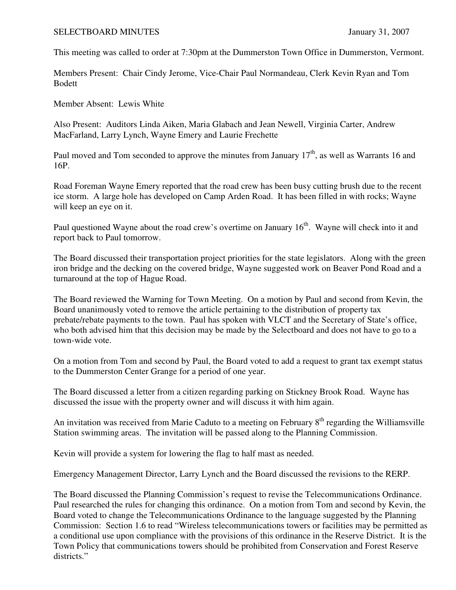## SELECTBOARD MINUTES January 31, 2007

This meeting was called to order at 7:30pm at the Dummerston Town Office in Dummerston, Vermont.

Members Present: Chair Cindy Jerome, Vice-Chair Paul Normandeau, Clerk Kevin Ryan and Tom Bodett

Member Absent: Lewis White

Also Present: Auditors Linda Aiken, Maria Glabach and Jean Newell, Virginia Carter, Andrew MacFarland, Larry Lynch, Wayne Emery and Laurie Frechette

Paul moved and Tom seconded to approve the minutes from January  $17<sup>th</sup>$ , as well as Warrants 16 and 16P.

Road Foreman Wayne Emery reported that the road crew has been busy cutting brush due to the recent ice storm. A large hole has developed on Camp Arden Road. It has been filled in with rocks; Wayne will keep an eye on it.

Paul questioned Wayne about the road crew's overtime on January 16<sup>th</sup>. Wayne will check into it and report back to Paul tomorrow.

The Board discussed their transportation project priorities for the state legislators. Along with the green iron bridge and the decking on the covered bridge, Wayne suggested work on Beaver Pond Road and a turnaround at the top of Hague Road.

The Board reviewed the Warning for Town Meeting. On a motion by Paul and second from Kevin, the Board unanimously voted to remove the article pertaining to the distribution of property tax prebate/rebate payments to the town. Paul has spoken with VLCT and the Secretary of State's office, who both advised him that this decision may be made by the Selectboard and does not have to go to a town-wide vote.

On a motion from Tom and second by Paul, the Board voted to add a request to grant tax exempt status to the Dummerston Center Grange for a period of one year.

The Board discussed a letter from a citizen regarding parking on Stickney Brook Road. Wayne has discussed the issue with the property owner and will discuss it with him again.

An invitation was received from Marie Caduto to a meeting on February 8<sup>th</sup> regarding the Williamsville Station swimming areas. The invitation will be passed along to the Planning Commission.

Kevin will provide a system for lowering the flag to half mast as needed.

Emergency Management Director, Larry Lynch and the Board discussed the revisions to the RERP.

The Board discussed the Planning Commission's request to revise the Telecommunications Ordinance. Paul researched the rules for changing this ordinance. On a motion from Tom and second by Kevin, the Board voted to change the Telecommunications Ordinance to the language suggested by the Planning Commission: Section 1.6 to read "Wireless telecommunications towers or facilities may be permitted as a conditional use upon compliance with the provisions of this ordinance in the Reserve District. It is the Town Policy that communications towers should be prohibited from Conservation and Forest Reserve districts."